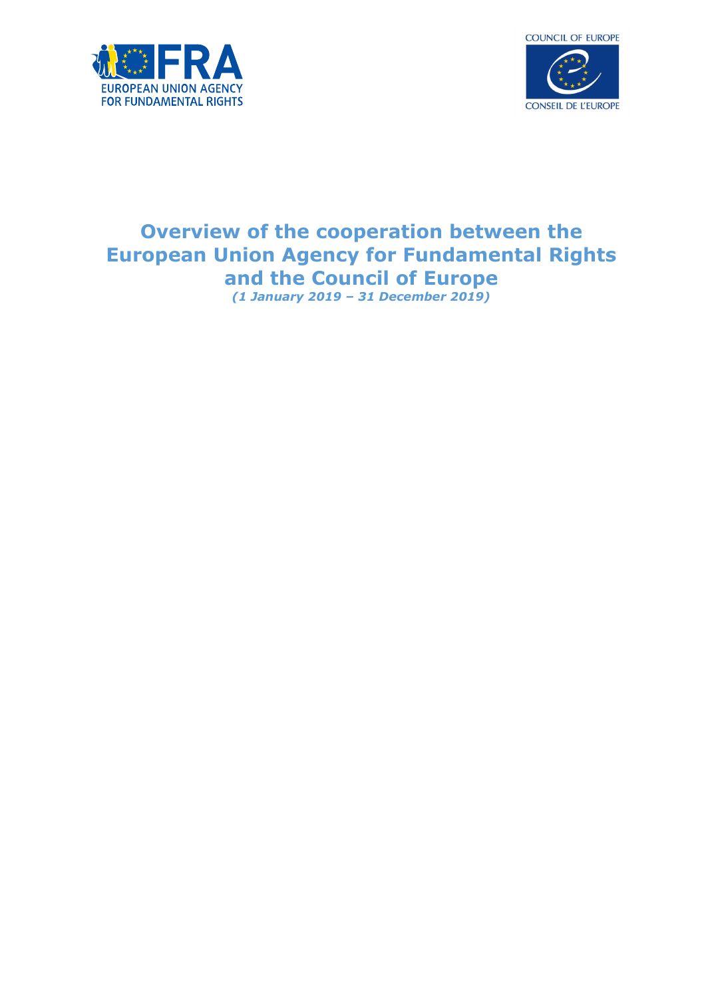



# Overview of the cooperation between the European Union Agency for Fundamental Rights and the Council of Europe (1 January 2019 – 31 December 2019)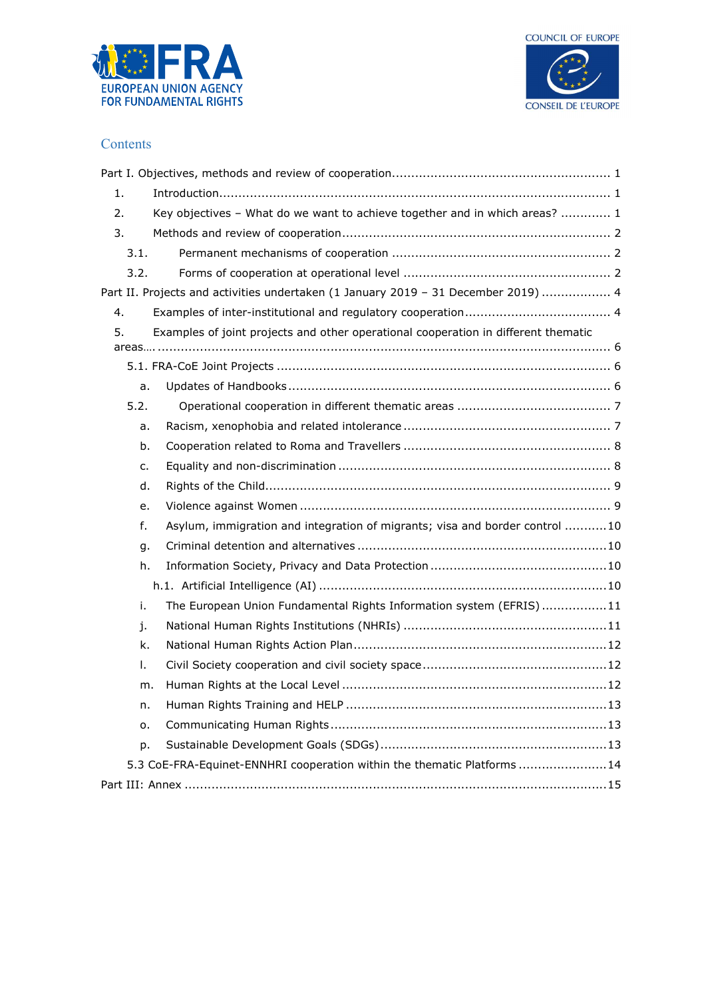



### **Contents**

| $\label{eq:interadd} \begin{minipage}[t]{0.9\linewidth} \textbf{Introduction}.\textbf{?} \end{minipage} \begin{minipage}[t]{0.9\linewidth} \textbf{array} \end{minipage} \begin{minipage}[t]{0.9\linewidth} \textbf{array} \end{minipage} \begin{minipage}[t]{0.9\linewidth} \textbf{1} \end{minipage} \begin{minipage}[t]{0.9\linewidth} \textbf{1} \end{minipage} \begin{minipage}[t]{0.9\linewidth} \textbf{1} \end{minipage} \begin{minipage}[t]{0.9\linewidth} \textbf{1} \end{minipage} \begin{minipage}[t]{0$<br>1. |  |
|----------------------------------------------------------------------------------------------------------------------------------------------------------------------------------------------------------------------------------------------------------------------------------------------------------------------------------------------------------------------------------------------------------------------------------------------------------------------------------------------------------------------------|--|
| 2.<br>Key objectives - What do we want to achieve together and in which areas?  1                                                                                                                                                                                                                                                                                                                                                                                                                                          |  |
| 3.                                                                                                                                                                                                                                                                                                                                                                                                                                                                                                                         |  |
| 3.1.                                                                                                                                                                                                                                                                                                                                                                                                                                                                                                                       |  |
| 3.2.                                                                                                                                                                                                                                                                                                                                                                                                                                                                                                                       |  |
| Part II. Projects and activities undertaken (1 January 2019 - 31 December 2019)  4                                                                                                                                                                                                                                                                                                                                                                                                                                         |  |
| 4.                                                                                                                                                                                                                                                                                                                                                                                                                                                                                                                         |  |
| Examples of joint projects and other operational cooperation in different thematic<br>5.                                                                                                                                                                                                                                                                                                                                                                                                                                   |  |
|                                                                                                                                                                                                                                                                                                                                                                                                                                                                                                                            |  |
|                                                                                                                                                                                                                                                                                                                                                                                                                                                                                                                            |  |
| a.                                                                                                                                                                                                                                                                                                                                                                                                                                                                                                                         |  |
| 5.2.                                                                                                                                                                                                                                                                                                                                                                                                                                                                                                                       |  |
| a.                                                                                                                                                                                                                                                                                                                                                                                                                                                                                                                         |  |
| b.                                                                                                                                                                                                                                                                                                                                                                                                                                                                                                                         |  |
| c.                                                                                                                                                                                                                                                                                                                                                                                                                                                                                                                         |  |
| d.                                                                                                                                                                                                                                                                                                                                                                                                                                                                                                                         |  |
| e.                                                                                                                                                                                                                                                                                                                                                                                                                                                                                                                         |  |
| f.<br>Asylum, immigration and integration of migrants; visa and border control 10                                                                                                                                                                                                                                                                                                                                                                                                                                          |  |
| g.                                                                                                                                                                                                                                                                                                                                                                                                                                                                                                                         |  |
| h.                                                                                                                                                                                                                                                                                                                                                                                                                                                                                                                         |  |
|                                                                                                                                                                                                                                                                                                                                                                                                                                                                                                                            |  |
| i.<br>The European Union Fundamental Rights Information system (EFRIS)11                                                                                                                                                                                                                                                                                                                                                                                                                                                   |  |
| j.                                                                                                                                                                                                                                                                                                                                                                                                                                                                                                                         |  |
| k.                                                                                                                                                                                                                                                                                                                                                                                                                                                                                                                         |  |
| Τ.                                                                                                                                                                                                                                                                                                                                                                                                                                                                                                                         |  |
| m.                                                                                                                                                                                                                                                                                                                                                                                                                                                                                                                         |  |
| n.                                                                                                                                                                                                                                                                                                                                                                                                                                                                                                                         |  |
| 0.                                                                                                                                                                                                                                                                                                                                                                                                                                                                                                                         |  |
| p.                                                                                                                                                                                                                                                                                                                                                                                                                                                                                                                         |  |
| 5.3 CoE-FRA-Equinet-ENNHRI cooperation within the thematic Platforms 14                                                                                                                                                                                                                                                                                                                                                                                                                                                    |  |
|                                                                                                                                                                                                                                                                                                                                                                                                                                                                                                                            |  |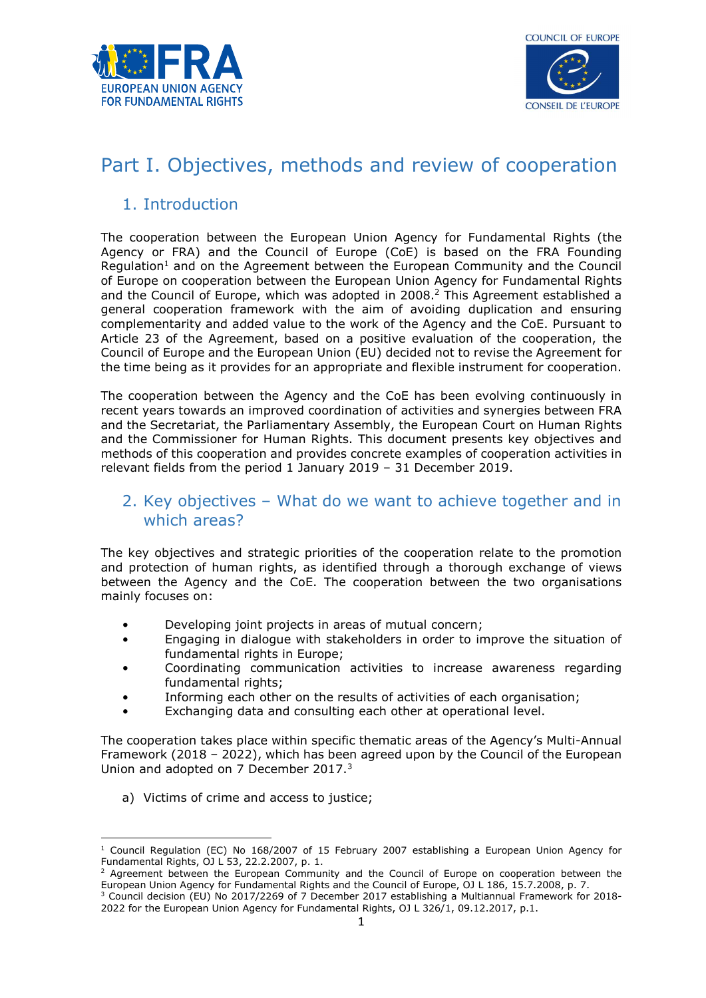



# Part I. Objectives, methods and review of cooperation

# 1. Introduction

The cooperation between the European Union Agency for Fundamental Rights (the Agency or FRA) and the Council of Europe (CoE) is based on the FRA Founding Regulation<sup>1</sup> and on the Agreement between the European Community and the Council of Europe on cooperation between the European Union Agency for Fundamental Rights and the Council of Europe, which was adopted in 2008.<sup>2</sup> This Agreement established a general cooperation framework with the aim of avoiding duplication and ensuring complementarity and added value to the work of the Agency and the CoE. Pursuant to Article 23 of the Agreement, based on a positive evaluation of the cooperation, the Council of Europe and the European Union (EU) decided not to revise the Agreement for the time being as it provides for an appropriate and flexible instrument for cooperation.

The cooperation between the Agency and the CoE has been evolving continuously in recent years towards an improved coordination of activities and synergies between FRA and the Secretariat, the Parliamentary Assembly, the European Court on Human Rights and the Commissioner for Human Rights. This document presents key objectives and methods of this cooperation and provides concrete examples of cooperation activities in relevant fields from the period 1 January 2019 – 31 December 2019.

# 2. Key objectives – What do we want to achieve together and in which areas?

The key objectives and strategic priorities of the cooperation relate to the promotion and protection of human rights, as identified through a thorough exchange of views between the Agency and the CoE. The cooperation between the two organisations mainly focuses on:

- Developing joint projects in areas of mutual concern;
- Engaging in dialogue with stakeholders in order to improve the situation of fundamental rights in Europe;
- Coordinating communication activities to increase awareness regarding fundamental rights;
- Informing each other on the results of activities of each organisation;
- Exchanging data and consulting each other at operational level.

The cooperation takes place within specific thematic areas of the Agency's Multi-Annual Framework (2018 – 2022), which has been agreed upon by the Council of the European Union and adopted on 7 December 2017.<sup>3</sup>

a) Victims of crime and access to justice;

<sup>-</sup><sup>1</sup> Council Regulation (EC) No 168/2007 of 15 February 2007 establishing a European Union Agency for Fundamental Rights, OJ L 53, 22.2.2007, p. 1.

<sup>&</sup>lt;sup>2</sup> Agreement between the European Community and the Council of Europe on cooperation between the European Union Agency for Fundamental Rights and the Council of Europe, OJ L 186, 15.7.2008, p. 7.

<sup>3</sup> Council decision (EU) No 2017/2269 of 7 December 2017 establishing a Multiannual Framework for 2018- 2022 for the European Union Agency for Fundamental Rights, OJ L 326/1, 09.12.2017, p.1.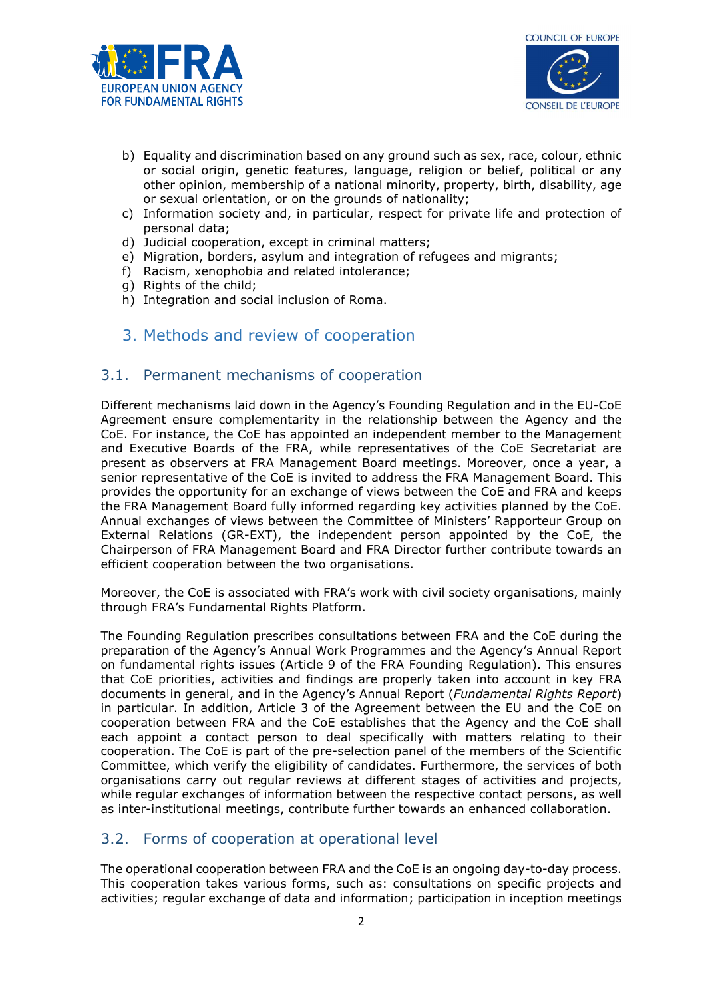



- b) Equality and discrimination based on any ground such as sex, race, colour, ethnic or social origin, genetic features, language, religion or belief, political or any other opinion, membership of a national minority, property, birth, disability, age or sexual orientation, or on the grounds of nationality;
- c) Information society and, in particular, respect for private life and protection of personal data;
- d) Judicial cooperation, except in criminal matters;
- e) Migration, borders, asylum and integration of refugees and migrants;
- f) Racism, xenophobia and related intolerance;
- g) Rights of the child;
- h) Integration and social inclusion of Roma.
- 3. Methods and review of cooperation

## 3.1. Permanent mechanisms of cooperation

Different mechanisms laid down in the Agency's Founding Regulation and in the EU-CoE Agreement ensure complementarity in the relationship between the Agency and the CoE. For instance, the CoE has appointed an independent member to the Management and Executive Boards of the FRA, while representatives of the CoE Secretariat are present as observers at FRA Management Board meetings. Moreover, once a year, a senior representative of the CoE is invited to address the FRA Management Board. This provides the opportunity for an exchange of views between the CoE and FRA and keeps the FRA Management Board fully informed regarding key activities planned by the CoE. Annual exchanges of views between the Committee of Ministers' Rapporteur Group on External Relations (GR-EXT), the independent person appointed by the CoE, the Chairperson of FRA Management Board and FRA Director further contribute towards an efficient cooperation between the two organisations.

Moreover, the CoE is associated with FRA's work with civil society organisations, mainly through FRA's Fundamental Rights Platform.

The Founding Regulation prescribes consultations between FRA and the CoE during the preparation of the Agency's Annual Work Programmes and the Agency's Annual Report on fundamental rights issues (Article 9 of the FRA Founding Regulation). This ensures that CoE priorities, activities and findings are properly taken into account in key FRA documents in general, and in the Agency's Annual Report (Fundamental Rights Report) in particular. In addition, Article 3 of the Agreement between the EU and the CoE on cooperation between FRA and the CoE establishes that the Agency and the CoE shall each appoint a contact person to deal specifically with matters relating to their cooperation. The CoE is part of the pre-selection panel of the members of the Scientific Committee, which verify the eligibility of candidates. Furthermore, the services of both organisations carry out regular reviews at different stages of activities and projects, while regular exchanges of information between the respective contact persons, as well as inter-institutional meetings, contribute further towards an enhanced collaboration.

## 3.2. Forms of cooperation at operational level

The operational cooperation between FRA and the CoE is an ongoing day-to-day process. This cooperation takes various forms, such as: consultations on specific projects and activities; regular exchange of data and information; participation in inception meetings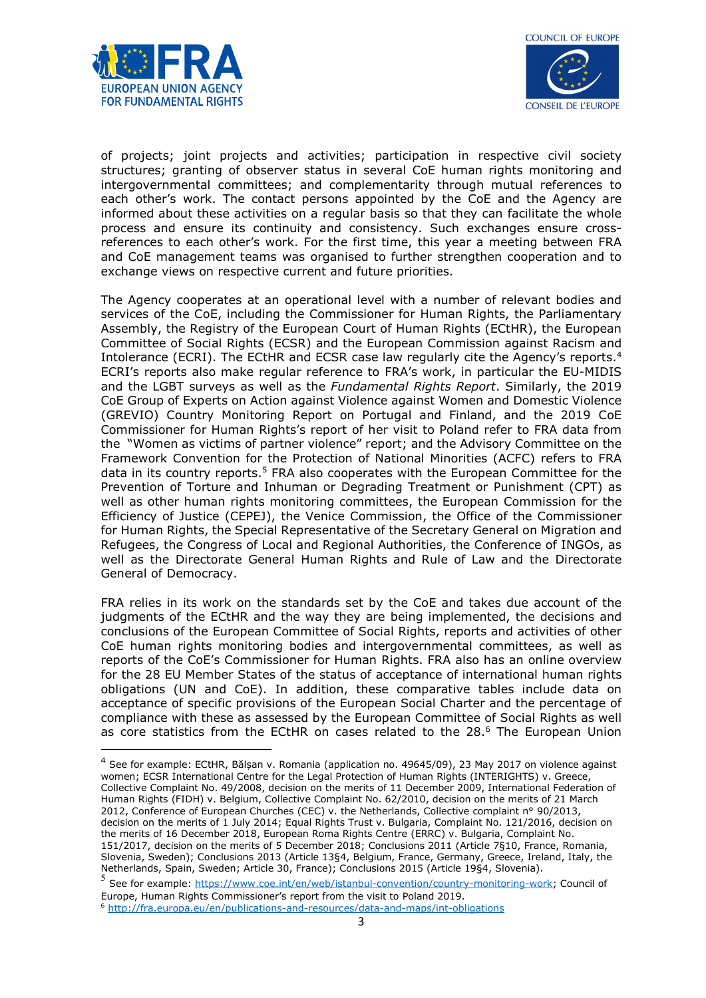

-



of projects; joint projects and activities; participation in respective civil society structures; granting of observer status in several CoE human rights monitoring and intergovernmental committees; and complementarity through mutual references to each other's work. The contact persons appointed by the CoE and the Agency are informed about these activities on a regular basis so that they can facilitate the whole process and ensure its continuity and consistency. Such exchanges ensure crossreferences to each other's work. For the first time, this year a meeting between FRA and CoE management teams was organised to further strengthen cooperation and to exchange views on respective current and future priorities.

The Agency cooperates at an operational level with a number of relevant bodies and services of the CoE, including the Commissioner for Human Rights, the Parliamentary Assembly, the Registry of the European Court of Human Rights (ECtHR), the European Committee of Social Rights (ECSR) and the European Commission against Racism and Intolerance (ECRI). The ECtHR and ECSR case law regularly cite the Agency's reports.<sup>4</sup> ECRI's reports also make regular reference to FRA's work, in particular the EU-MIDIS and the LGBT surveys as well as the *Fundamental Rights Report*. Similarly, the 2019 CoE Group of Experts on Action against Violence against Women and Domestic Violence (GREVIO) Country Monitoring Report on Portugal and Finland, and the 2019 CoE Commissioner for Human Rights's report of her visit to Poland refer to FRA data from the "Women as victims of partner violence" report; and the Advisory Committee on the Framework Convention for the Protection of National Minorities (ACFC) refers to FRA data in its country reports.<sup>5</sup> FRA also cooperates with the European Committee for the Prevention of Torture and Inhuman or Degrading Treatment or Punishment (CPT) as well as other human rights monitoring committees, the European Commission for the Efficiency of Justice (CEPEJ), the Venice Commission, the Office of the Commissioner for Human Rights, the Special Representative of the Secretary General on Migration and Refugees, the Congress of Local and Regional Authorities, the Conference of INGOs, as well as the Directorate General Human Rights and Rule of Law and the Directorate General of Democracy.

FRA relies in its work on the standards set by the CoE and takes due account of the judgments of the ECtHR and the way they are being implemented, the decisions and conclusions of the European Committee of Social Rights, reports and activities of other CoE human rights monitoring bodies and intergovernmental committees, as well as reports of the CoE's Commissioner for Human Rights. FRA also has an online overview for the 28 EU Member States of the status of acceptance of international human rights obligations (UN and CoE). In addition, these comparative tables include data on acceptance of specific provisions of the European Social Charter and the percentage of compliance with these as assessed by the European Committee of Social Rights as well as core statistics from the ECtHR on cases related to the  $28.6$  The European Union

<sup>5</sup> See for example: https://www.coe.int/en/web/istanbul-convention/country-monitoring-work; Council of Europe, Human Rights Commissioner's report from the visit to Poland 2019.

<sup>4</sup> See for example: ECtHR, Bălșan v. Romania (application no. 49645/09), 23 May 2017 on violence against women; ECSR International Centre for the Legal Protection of Human Rights (INTERIGHTS) v. Greece, Collective Complaint No. 49/2008, decision on the merits of 11 December 2009, International Federation of Human Rights (FIDH) v. Belgium, Collective Complaint No. 62/2010, decision on the merits of 21 March 2012, Conference of European Churches (CEC) v. the Netherlands, Collective complaint n° 90/2013, decision on the merits of 1 July 2014; Equal Rights Trust v. Bulgaria, Complaint No. 121/2016, decision on the merits of 16 December 2018, European Roma Rights Centre (ERRC) v. Bulgaria, Complaint No. 151/2017, decision on the merits of 5 December 2018; Conclusions 2011 (Article 7§10, France, Romania, Slovenia, Sweden); Conclusions 2013 (Article 13§4, Belgium, France, Germany, Greece, Ireland, Italy, the Netherlands, Spain, Sweden; Article 30, France); Conclusions 2015 (Article 19§4, Slovenia).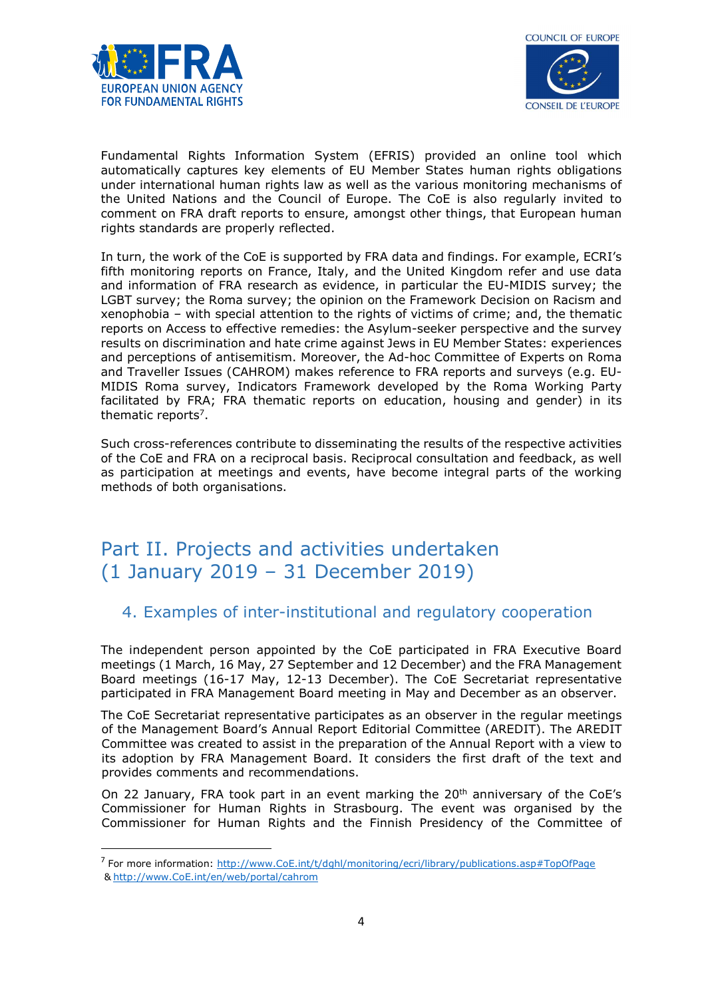

-



Fundamental Rights Information System (EFRIS) provided an online tool which automatically captures key elements of EU Member States human rights obligations under international human rights law as well as the various monitoring mechanisms of the United Nations and the Council of Europe. The CoE is also regularly invited to comment on FRA draft reports to ensure, amongst other things, that European human rights standards are properly reflected.

In turn, the work of the CoE is supported by FRA data and findings. For example, ECRI's fifth monitoring reports on France, Italy, and the United Kingdom refer and use data and information of FRA research as evidence, in particular the EU-MIDIS survey; the LGBT survey; the Roma survey; the opinion on the Framework Decision on Racism and xenophobia – with special attention to the rights of victims of crime; and, the thematic reports on Access to effective remedies: the Asylum-seeker perspective and the survey results on discrimination and hate crime against Jews in EU Member States: experiences and perceptions of antisemitism. Moreover, the Ad-hoc Committee of Experts on Roma and Traveller Issues (CAHROM) makes reference to FRA reports and surveys (e.g. EU-MIDIS Roma survey, Indicators Framework developed by the Roma Working Party facilitated by FRA; FRA thematic reports on education, housing and gender) in its thematic reports<sup>7</sup>.

Such cross-references contribute to disseminating the results of the respective activities of the CoE and FRA on a reciprocal basis. Reciprocal consultation and feedback, as well as participation at meetings and events, have become integral parts of the working methods of both organisations.

# Part II. Projects and activities undertaken (1 January 2019 – 31 December 2019)

# 4. Examples of inter-institutional and regulatory cooperation

The independent person appointed by the CoE participated in FRA Executive Board meetings (1 March, 16 May, 27 September and 12 December) and the FRA Management Board meetings (16-17 May, 12-13 December). The CoE Secretariat representative participated in FRA Management Board meeting in May and December as an observer.

The CoE Secretariat representative participates as an observer in the regular meetings of the Management Board's Annual Report Editorial Committee (AREDIT). The AREDIT Committee was created to assist in the preparation of the Annual Report with a view to its adoption by FRA Management Board. It considers the first draft of the text and provides comments and recommendations.

On 22 January, FRA took part in an event marking the  $20<sup>th</sup>$  anniversary of the CoE's Commissioner for Human Rights in Strasbourg. The event was organised by the Commissioner for Human Rights and the Finnish Presidency of the Committee of

<sup>&</sup>lt;sup>7</sup> For more information: http://www.CoE.int/t/dghl/monitoring/ecri/library/publications.asp#TopOfPage & http://www.CoE.int/en/web/portal/cahrom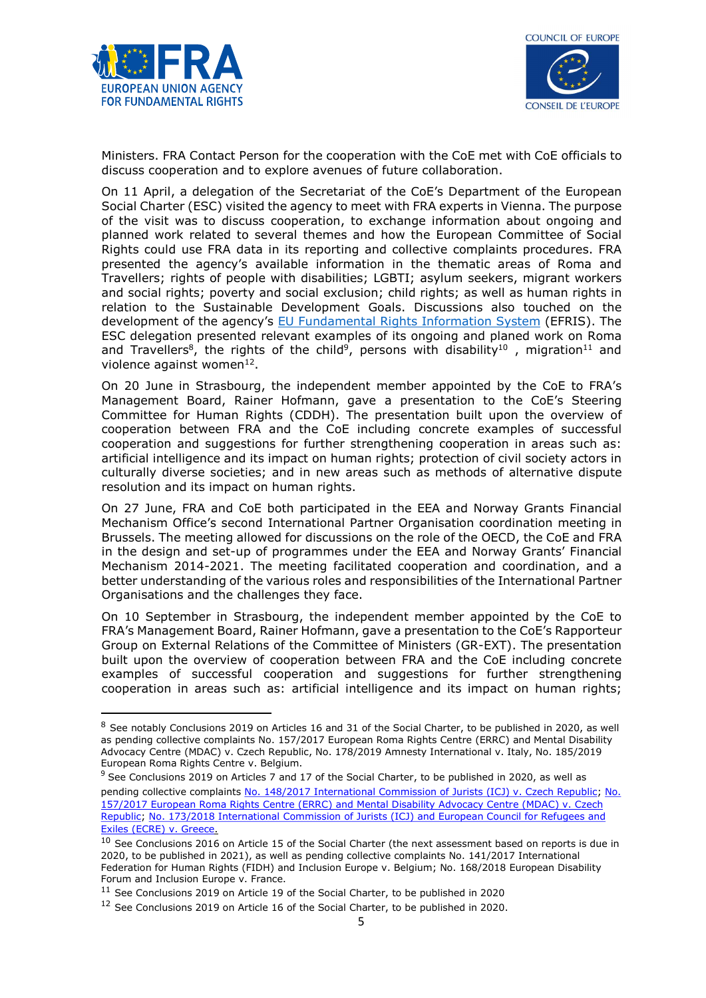

-



Ministers. FRA Contact Person for the cooperation with the CoE met with CoE officials to discuss cooperation and to explore avenues of future collaboration.

On 11 April, a delegation of the Secretariat of the CoE's Department of the European Social Charter (ESC) visited the agency to meet with FRA experts in Vienna. The purpose of the visit was to discuss cooperation, to exchange information about ongoing and planned work related to several themes and how the European Committee of Social Rights could use FRA data in its reporting and collective complaints procedures. FRA presented the agency's available information in the thematic areas of Roma and Travellers; rights of people with disabilities; LGBTI; asylum seekers, migrant workers and social rights; poverty and social exclusion; child rights; as well as human rights in relation to the Sustainable Development Goals. Discussions also touched on the development of the agency's EU Fundamental Rights Information System (EFRIS). The ESC delegation presented relevant examples of its ongoing and planed work on Roma and Travellers<sup>8</sup>, the rights of the child<sup>9</sup>, persons with disability<sup>10</sup>, migration<sup>11</sup> and violence against women<sup>12</sup>.

On 20 June in Strasbourg, the independent member appointed by the CoE to FRA's Management Board, Rainer Hofmann, gave a presentation to the CoE's Steering Committee for Human Rights (CDDH). The presentation built upon the overview of cooperation between FRA and the CoE including concrete examples of successful cooperation and suggestions for further strengthening cooperation in areas such as: artificial intelligence and its impact on human rights; protection of civil society actors in culturally diverse societies; and in new areas such as methods of alternative dispute resolution and its impact on human rights.

On 27 June, FRA and CoE both participated in the EEA and Norway Grants Financial Mechanism Office's second International Partner Organisation coordination meeting in Brussels. The meeting allowed for discussions on the role of the OECD, the CoE and FRA in the design and set-up of programmes under the EEA and Norway Grants' Financial Mechanism 2014-2021. The meeting facilitated cooperation and coordination, and a better understanding of the various roles and responsibilities of the International Partner Organisations and the challenges they face.

On 10 September in Strasbourg, the independent member appointed by the CoE to FRA's Management Board, Rainer Hofmann, gave a presentation to the CoE's Rapporteur Group on External Relations of the Committee of Ministers (GR-EXT). The presentation built upon the overview of cooperation between FRA and the CoE including concrete examples of successful cooperation and suggestions for further strengthening cooperation in areas such as: artificial intelligence and its impact on human rights;

<sup>&</sup>lt;sup>8</sup> See notably Conclusions 2019 on Articles 16 and 31 of the Social Charter, to be published in 2020, as well as pending collective complaints No. 157/2017 European Roma Rights Centre (ERRC) and Mental Disability Advocacy Centre (MDAC) v. Czech Republic, No. 178/2019 Amnesty International v. Italy, No. 185/2019 European Roma Rights Centre v. Belgium.

 $9$  See Conclusions 2019 on Articles 7 and 17 of the Social Charter, to be published in 2020, as well as pending collective complaints No. 148/2017 International Commission of Jurists (ICJ) v. Czech Republic; No. 157/2017 European Roma Rights Centre (ERRC) and Mental Disability Advocacy Centre (MDAC) v. Czech Republic; No. 173/2018 International Commission of Jurists (ICJ) and European Council for Refugees and Exiles (ECRE) v. Greece.

 $10$  See Conclusions 2016 on Article 15 of the Social Charter (the next assessment based on reports is due in 2020, to be published in 2021), as well as pending collective complaints No. 141/2017 International Federation for Human Rights (FIDH) and Inclusion Europe v. Belgium; No. 168/2018 European Disability Forum and Inclusion Europe v. France.

<sup>11</sup> See Conclusions 2019 on Article 19 of the Social Charter, to be published in 2020

<sup>&</sup>lt;sup>12</sup> See Conclusions 2019 on Article 16 of the Social Charter, to be published in 2020.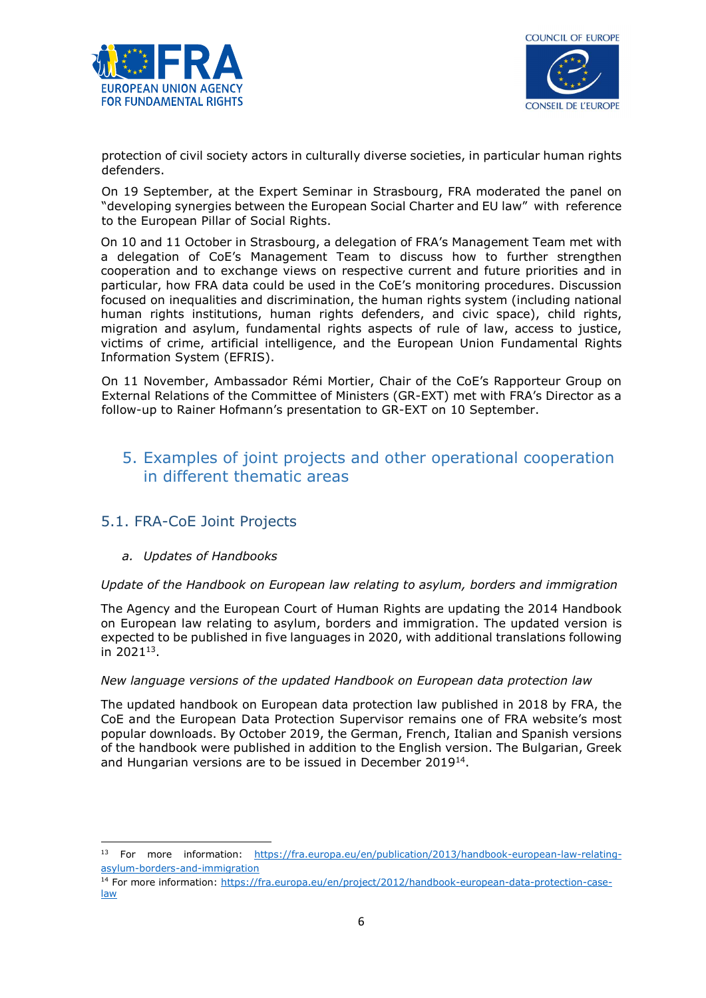



protection of civil society actors in culturally diverse societies, in particular human rights defenders.

On 19 September, at the Expert Seminar in Strasbourg, FRA moderated the panel on "developing synergies between the European Social Charter and EU law" with reference to the European Pillar of Social Rights.

On 10 and 11 October in Strasbourg, a delegation of FRA's Management Team met with a delegation of CoE's Management Team to discuss how to further strengthen cooperation and to exchange views on respective current and future priorities and in particular, how FRA data could be used in the CoE's monitoring procedures. Discussion focused on inequalities and discrimination, the human rights system (including national human rights institutions, human rights defenders, and civic space), child rights, migration and asylum, fundamental rights aspects of rule of law, access to justice, victims of crime, artificial intelligence, and the European Union Fundamental Rights Information System (EFRIS).

On 11 November, Ambassador Rémi Mortier, Chair of the CoE's Rapporteur Group on External Relations of the Committee of Ministers (GR-EXT) met with FRA's Director as a follow-up to Rainer Hofmann's presentation to GR-EXT on 10 September.

# 5. Examples of joint projects and other operational cooperation in different thematic areas

## 5.1. FRA-CoE Joint Projects

## a. Updates of Handbooks

-

#### Update of the Handbook on European law relating to asylum, borders and immigration

The Agency and the European Court of Human Rights are updating the 2014 Handbook on European law relating to asylum, borders and immigration. The updated version is expected to be published in five languages in 2020, with additional translations following in 2021<sup>13</sup> .

#### New language versions of the updated Handbook on European data protection law

The updated handbook on European data protection law published in 2018 by FRA, the CoE and the European Data Protection Supervisor remains one of FRA website's most popular downloads. By October 2019, the German, French, Italian and Spanish versions of the handbook were published in addition to the English version. The Bulgarian, Greek and Hungarian versions are to be issued in December 2019<sup>14</sup>.

<sup>&</sup>lt;sup>13</sup> For more information: https://fra.europa.eu/en/publication/2013/handbook-european-law-relatingasylum-borders-and-immigration

<sup>14</sup> For more information: https://fra.europa.eu/en/project/2012/handbook-european-data-protection-caselaw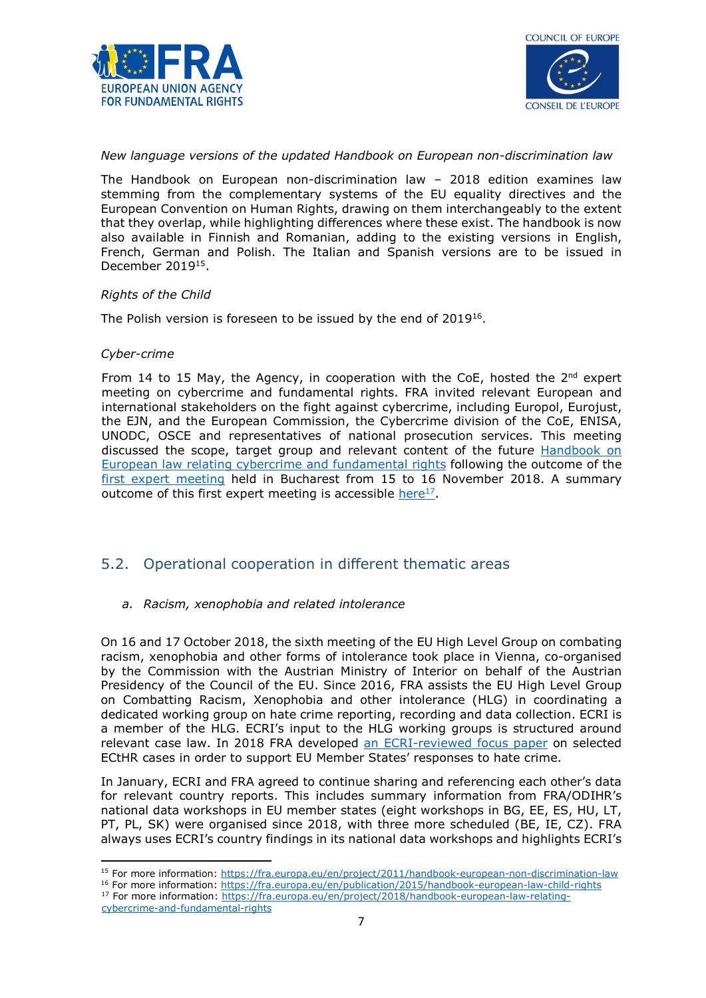



#### New language versions of the updated Handbook on European non-discrimination law

The Handbook on European non-discrimination law – 2018 edition examines law stemming from the complementary systems of the EU equality directives and the European Convention on Human Rights, drawing on them interchangeably to the extent that they overlap, while highlighting differences where these exist. The handbook is now also available in Finnish and Romanian, adding to the existing versions in English, French, German and Polish. The Italian and Spanish versions are to be issued in December 2019<sup>15</sup>.

#### Rights of the Child

The Polish version is foreseen to be issued by the end of 2019<sup>16</sup>.

#### Cyber-crime

From 14 to 15 May, the Agency, in cooperation with the CoE, hosted the  $2^{nd}$  expert meeting on cybercrime and fundamental rights. FRA invited relevant European and international stakeholders on the fight against cybercrime, including Europol, Eurojust, the EJN, and the European Commission, the Cybercrime division of the CoE, ENISA, UNODC, OSCE and representatives of national prosecution services. This meeting discussed the scope, target group and relevant content of the future Handbook on European law relating cybercrime and fundamental rights following the outcome of the first expert meeting held in Bucharest from 15 to 16 November 2018. A summary outcome of this first expert meeting is accessible here<sup>17</sup>.

## 5.2. Operational cooperation in different thematic areas

#### a. Racism, xenophobia and related intolerance

On 16 and 17 October 2018, the sixth meeting of the EU High Level Group on combating racism, xenophobia and other forms of intolerance took place in Vienna, co-organised by the Commission with the Austrian Ministry of Interior on behalf of the Austrian Presidency of the Council of the EU. Since 2016, FRA assists the EU High Level Group on Combatting Racism, Xenophobia and other intolerance (HLG) in coordinating a dedicated working group on hate crime reporting, recording and data collection. ECRI is a member of the HLG. ECRI's input to the HLG working groups is structured around relevant case law. In 2018 FRA developed an ECRI-reviewed focus paper on selected ECtHR cases in order to support EU Member States' responses to hate crime.

In January, ECRI and FRA agreed to continue sharing and referencing each other's data for relevant country reports. This includes summary information from FRA/ODIHR's national data workshops in EU member states (eight workshops in BG, EE, ES, HU, LT, PT, PL, SK) were organised since 2018, with three more scheduled (BE, IE, CZ). FRA always uses ECRI's country findings in its national data workshops and highlights ECRI's

-<sup>15</sup> For more information: https://fra.europa.eu/en/project/2011/handbook-european-non-discrimination-law

<sup>17</sup> For more information: https://fra.europa.eu/en/project/2018/handbook-european-law-relating-

<sup>&</sup>lt;sup>16</sup> For more information: https://fra.europa.eu/en/publication/2015/handbook-european-law-child-rights

cybercrime-and-fundamental-rights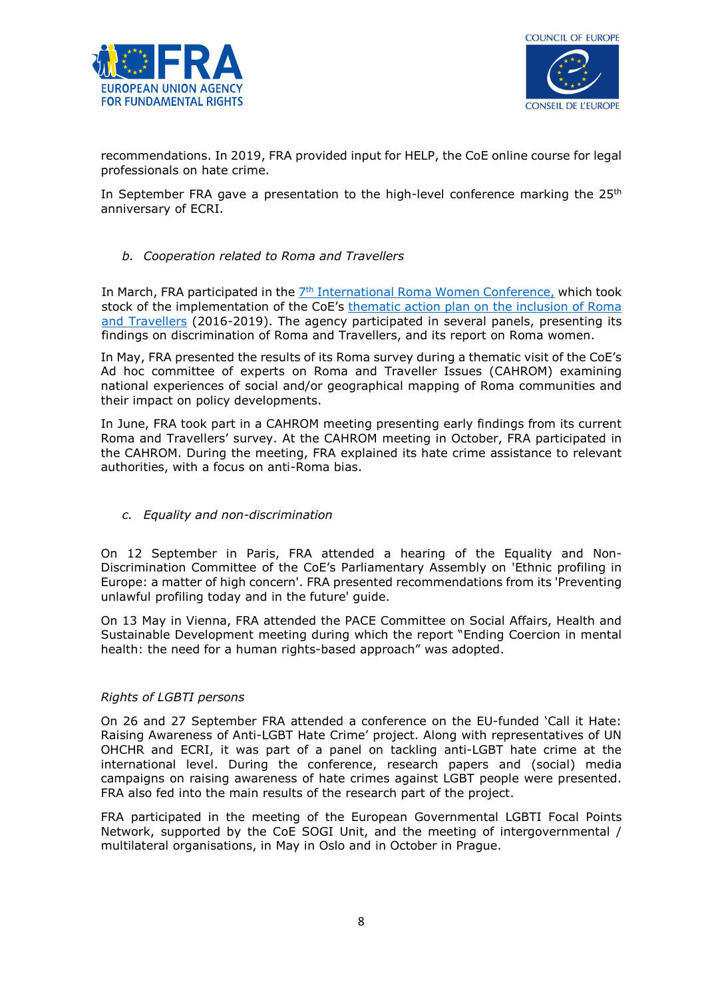



recommendations. In 2019, FRA provided input for HELP, the CoE online course for legal professionals on hate crime.

In September FRA gave a presentation to the high-level conference marking the  $25<sup>th</sup>$ anniversary of ECRI.

b. Cooperation related to Roma and Travellers

In March, FRA participated in the 7<sup>th</sup> International Roma Women Conference, which took stock of the implementation of the CoE's thematic action plan on the inclusion of Roma and Travellers (2016-2019). The agency participated in several panels, presenting its findings on discrimination of Roma and Travellers, and its report on Roma women.

In May, FRA presented the results of its Roma survey during a thematic visit of the CoE's Ad hoc committee of experts on Roma and Traveller Issues (CAHROM) examining national experiences of social and/or geographical mapping of Roma communities and their impact on policy developments.

In June, FRA took part in a CAHROM meeting presenting early findings from its current Roma and Travellers' survey. At the CAHROM meeting in October, FRA participated in the CAHROM. During the meeting, FRA explained its hate crime assistance to relevant authorities, with a focus on anti-Roma bias.

c. Equality and non-discrimination

On 12 September in Paris, FRA attended a hearing of the Equality and Non-Discrimination Committee of the CoE's Parliamentary Assembly on 'Ethnic profiling in Europe: a matter of high concern'. FRA presented recommendations from its 'Preventing unlawful profiling today and in the future' guide.

On 13 May in Vienna, FRA attended the PACE Committee on Social Affairs, Health and Sustainable Development meeting during which the report "Ending Coercion in mental health: the need for a human rights-based approach" was adopted.

#### Rights of LGBTI persons

On 26 and 27 September FRA attended a conference on the EU-funded 'Call it Hate: Raising Awareness of Anti-LGBT Hate Crime' project. Along with representatives of UN OHCHR and ECRI, it was part of a panel on tackling anti-LGBT hate crime at the international level. During the conference, research papers and (social) media campaigns on raising awareness of hate crimes against LGBT people were presented. FRA also fed into the main results of the research part of the project.

FRA participated in the meeting of the European Governmental LGBTI Focal Points Network, supported by the CoE SOGI Unit, and the meeting of intergovernmental / multilateral organisations, in May in Oslo and in October in Prague.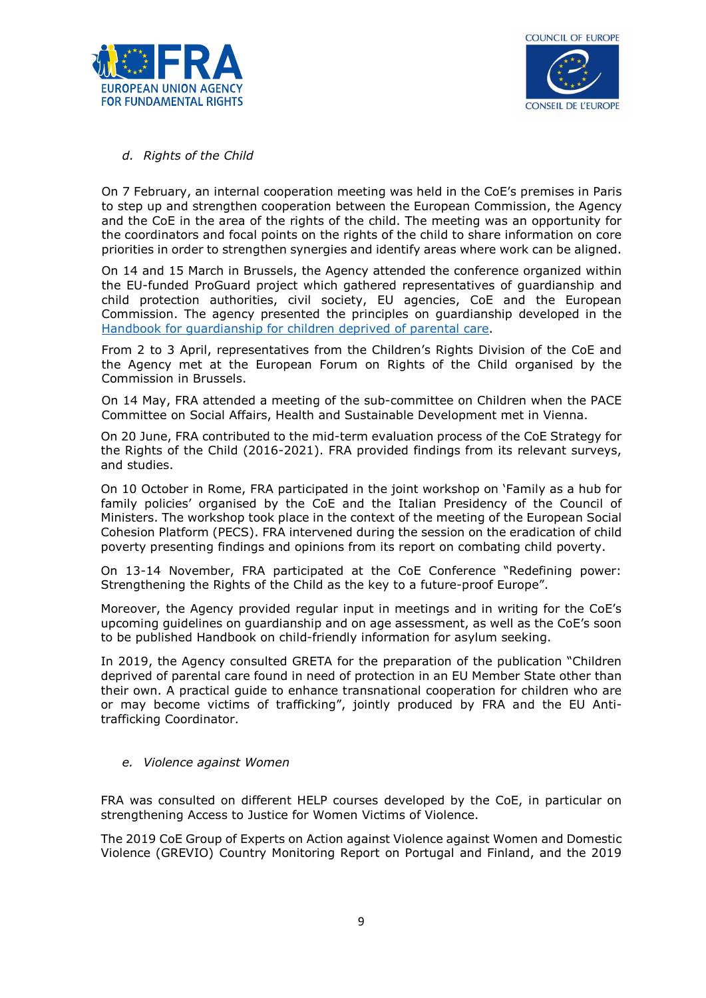



#### d. Rights of the Child

On 7 February, an internal cooperation meeting was held in the CoE's premises in Paris to step up and strengthen cooperation between the European Commission, the Agency and the CoE in the area of the rights of the child. The meeting was an opportunity for the coordinators and focal points on the rights of the child to share information on core priorities in order to strengthen synergies and identify areas where work can be aligned.

On 14 and 15 March in Brussels, the Agency attended the conference organized within the EU-funded ProGuard project which gathered representatives of guardianship and child protection authorities, civil society, EU agencies, CoE and the European Commission. The agency presented the principles on guardianship developed in the Handbook for guardianship for children deprived of parental care.

From 2 to 3 April, representatives from the Children's Rights Division of the CoE and the Agency met at the European Forum on Rights of the Child organised by the Commission in Brussels.

On 14 May, FRA attended a meeting of the sub-committee on Children when the PACE Committee on Social Affairs, Health and Sustainable Development met in Vienna.

On 20 June, FRA contributed to the mid-term evaluation process of the CoE Strategy for the Rights of the Child (2016-2021). FRA provided findings from its relevant surveys, and studies.

On 10 October in Rome, FRA participated in the joint workshop on 'Family as a hub for family policies' organised by the CoE and the Italian Presidency of the Council of Ministers. The workshop took place in the context of the meeting of the European Social Cohesion Platform (PECS). FRA intervened during the session on the eradication of child poverty presenting findings and opinions from its report on combating child poverty.

On 13-14 November, FRA participated at the CoE Conference "Redefining power: Strengthening the Rights of the Child as the key to a future-proof Europe".

Moreover, the Agency provided regular input in meetings and in writing for the CoE's upcoming guidelines on guardianship and on age assessment, as well as the CoE's soon to be published Handbook on child-friendly information for asylum seeking.

In 2019, the Agency consulted GRETA for the preparation of the publication "Children deprived of parental care found in need of protection in an EU Member State other than their own. A practical guide to enhance transnational cooperation for children who are or may become victims of trafficking", jointly produced by FRA and the EU Antitrafficking Coordinator.

#### e. Violence against Women

FRA was consulted on different HELP courses developed by the CoE, in particular on strengthening Access to Justice for Women Victims of Violence.

The 2019 CoE Group of Experts on Action against Violence against Women and Domestic Violence (GREVIO) Country Monitoring Report on Portugal and Finland, and the 2019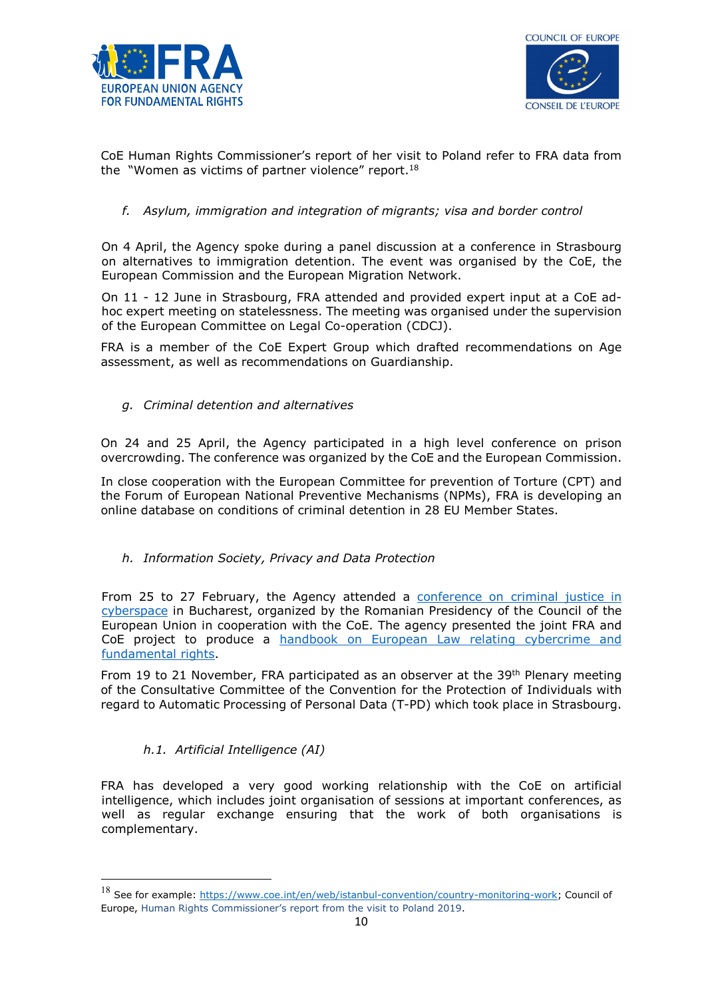



CoE Human Rights Commissioner's report of her visit to Poland refer to FRA data from the "Women as victims of partner violence" report.<sup>18</sup>

### f. Asylum, immigration and integration of migrants; visa and border control

On 4 April, the Agency spoke during a panel discussion at a conference in Strasbourg on alternatives to immigration detention. The event was organised by the CoE, the European Commission and the European Migration Network.

On 11 - 12 June in Strasbourg, FRA attended and provided expert input at a CoE adhoc expert meeting on statelessness. The meeting was organised under the supervision of the European Committee on Legal Co-operation (CDCJ).

FRA is a member of the CoE Expert Group which drafted recommendations on Age assessment, as well as recommendations on Guardianship.

g. Criminal detention and alternatives

On 24 and 25 April, the Agency participated in a high level conference on prison overcrowding. The conference was organized by the CoE and the European Commission.

In close cooperation with the European Committee for prevention of Torture (CPT) and the Forum of European National Preventive Mechanisms (NPMs), FRA is developing an online database on conditions of criminal detention in 28 EU Member States.

h. Information Society, Privacy and Data Protection

From 25 to 27 February, the Agency attended a conference on criminal justice in cyberspace in Bucharest, organized by the Romanian Presidency of the Council of the European Union in cooperation with the CoE. The agency presented the joint FRA and CoE project to produce a handbook on European Law relating cybercrime and fundamental rights.

From 19 to 21 November, FRA participated as an observer at the 39<sup>th</sup> Plenary meeting of the Consultative Committee of the Convention for the Protection of Individuals with regard to Automatic Processing of Personal Data (T-PD) which took place in Strasbourg.

## h.1. Artificial Intelligence (AI)

-

FRA has developed a very good working relationship with the CoE on artificial intelligence, which includes joint organisation of sessions at important conferences, as well as regular exchange ensuring that the work of both organisations is complementary.

<sup>&</sup>lt;sup>18</sup> See for example: https://www.coe.int/en/web/istanbul-convention/country-monitoring-work; Council of Europe, Human Rights Commissioner's report from the visit to Poland 2019.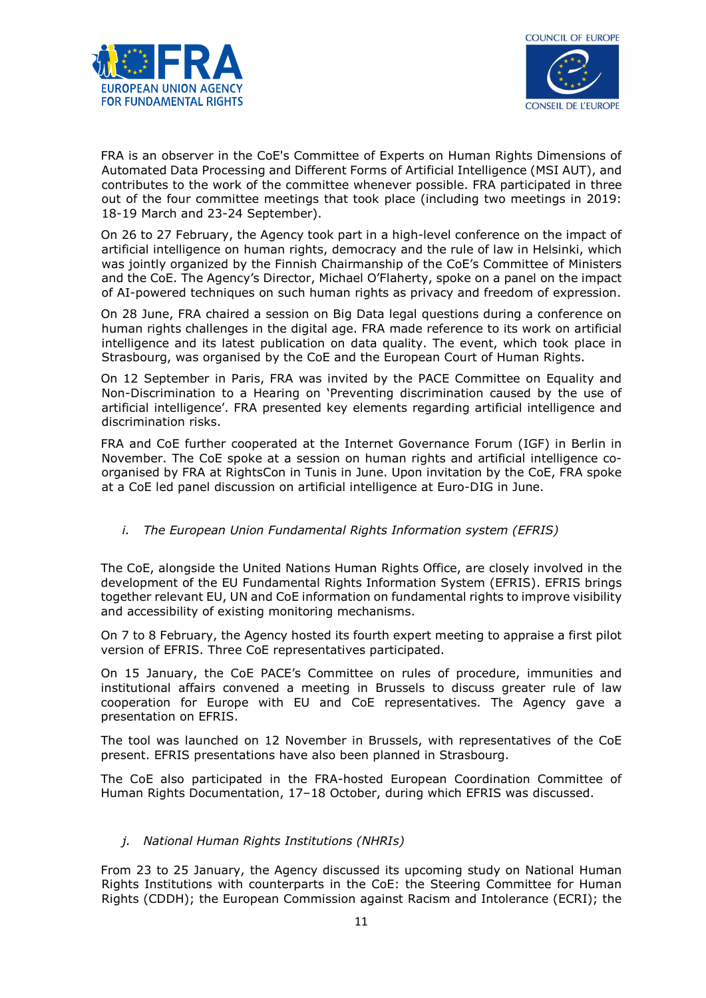



FRA is an observer in the CoE's Committee of Experts on Human Rights Dimensions of Automated Data Processing and Different Forms of Artificial Intelligence (MSI AUT), and contributes to the work of the committee whenever possible. FRA participated in three out of the four committee meetings that took place (including two meetings in 2019: 18-19 March and 23-24 September).

On 26 to 27 February, the Agency took part in a high-level conference on the impact of artificial intelligence on human rights, democracy and the rule of law in Helsinki, which was jointly organized by the Finnish Chairmanship of the CoE's Committee of Ministers and the CoE. The Agency's Director, Michael O'Flaherty, spoke on a panel on the impact of AI-powered techniques on such human rights as privacy and freedom of expression.

On 28 June, FRA chaired a session on Big Data legal questions during a conference on human rights challenges in the digital age. FRA made reference to its work on artificial intelligence and its latest publication on data quality. The event, which took place in Strasbourg, was organised by the CoE and the European Court of Human Rights.

On 12 September in Paris, FRA was invited by the PACE Committee on Equality and Non-Discrimination to a Hearing on 'Preventing discrimination caused by the use of artificial intelligence'. FRA presented key elements regarding artificial intelligence and discrimination risks.

FRA and CoE further cooperated at the Internet Governance Forum (IGF) in Berlin in November. The CoE spoke at a session on human rights and artificial intelligence coorganised by FRA at RightsCon in Tunis in June. Upon invitation by the CoE, FRA spoke at a CoE led panel discussion on artificial intelligence at Euro-DIG in June.

i. The European Union Fundamental Rights Information system (EFRIS)

The CoE, alongside the United Nations Human Rights Office, are closely involved in the development of the EU Fundamental Rights Information System (EFRIS). EFRIS brings together relevant EU, UN and CoE information on fundamental rights to improve visibility and accessibility of existing monitoring mechanisms.

On 7 to 8 February, the Agency hosted its fourth expert meeting to appraise a first pilot version of EFRIS. Three CoE representatives participated.

On 15 January, the CoE PACE's Committee on rules of procedure, immunities and institutional affairs convened a meeting in Brussels to discuss greater rule of law cooperation for Europe with EU and CoE representatives. The Agency gave a presentation on EFRIS.

The tool was launched on 12 November in Brussels, with representatives of the CoE present. EFRIS presentations have also been planned in Strasbourg.

The CoE also participated in the FRA-hosted European Coordination Committee of Human Rights Documentation, 17–18 October, during which EFRIS was discussed.

#### j. National Human Rights Institutions (NHRIs)

From 23 to 25 January, the Agency discussed its upcoming study on National Human Rights Institutions with counterparts in the CoE: the Steering Committee for Human Rights (CDDH); the European Commission against Racism and Intolerance (ECRI); the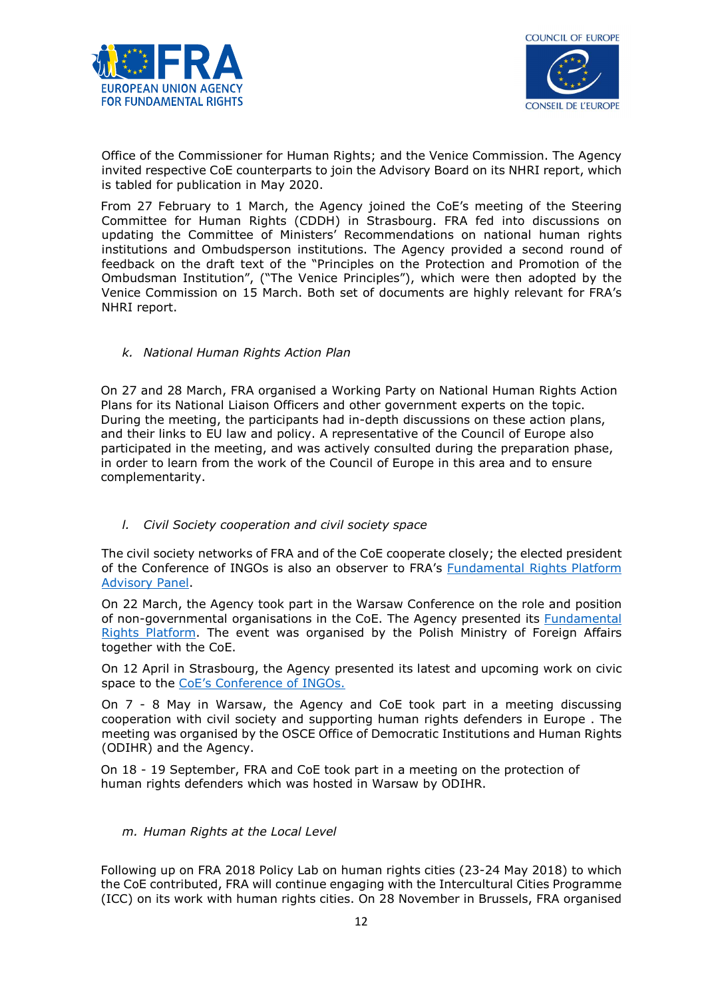



Office of the Commissioner for Human Rights; and the Venice Commission. The Agency invited respective CoE counterparts to join the Advisory Board on its NHRI report, which is tabled for publication in May 2020.

From 27 February to 1 March, the Agency joined the CoE's meeting of the Steering Committee for Human Rights (CDDH) in Strasbourg. FRA fed into discussions on updating the Committee of Ministers' Recommendations on national human rights institutions and Ombudsperson institutions. The Agency provided a second round of feedback on the draft text of the "Principles on the Protection and Promotion of the Ombudsman Institution", ("The Venice Principles"), which were then adopted by the Venice Commission on 15 March. Both set of documents are highly relevant for FRA's NHRI report.

#### k. National Human Rights Action Plan

On 27 and 28 March, FRA organised a Working Party on National Human Rights Action Plans for its National Liaison Officers and other government experts on the topic. During the meeting, the participants had in-depth discussions on these action plans, and their links to EU law and policy. A representative of the Council of Europe also participated in the meeting, and was actively consulted during the preparation phase, in order to learn from the work of the Council of Europe in this area and to ensure complementarity.

#### l. Civil Society cooperation and civil society space

The civil society networks of FRA and of the CoE cooperate closely; the elected president of the Conference of INGOs is also an observer to FRA's Fundamental Rights Platform Advisory Panel.

On 22 March, the Agency took part in the Warsaw Conference on the role and position of non-governmental organisations in the CoE. The Agency presented its Fundamental Rights Platform. The event was organised by the Polish Ministry of Foreign Affairs together with the CoE.

On 12 April in Strasbourg, the Agency presented its latest and upcoming work on civic space to the CoE's Conference of INGOs.

On 7 - 8 May in Warsaw, the Agency and CoE took part in a meeting discussing cooperation with civil society and supporting human rights defenders in Europe . The meeting was organised by the OSCE Office of Democratic Institutions and Human Rights (ODIHR) and the Agency.

On 18 - 19 September, FRA and CoE took part in a meeting on the protection of human rights defenders which was hosted in Warsaw by ODIHR.

#### m. Human Rights at the Local Level

Following up on FRA 2018 Policy Lab on human rights cities (23-24 May 2018) to which the CoE contributed, FRA will continue engaging with the Intercultural Cities Programme (ICC) on its work with human rights cities. On 28 November in Brussels, FRA organised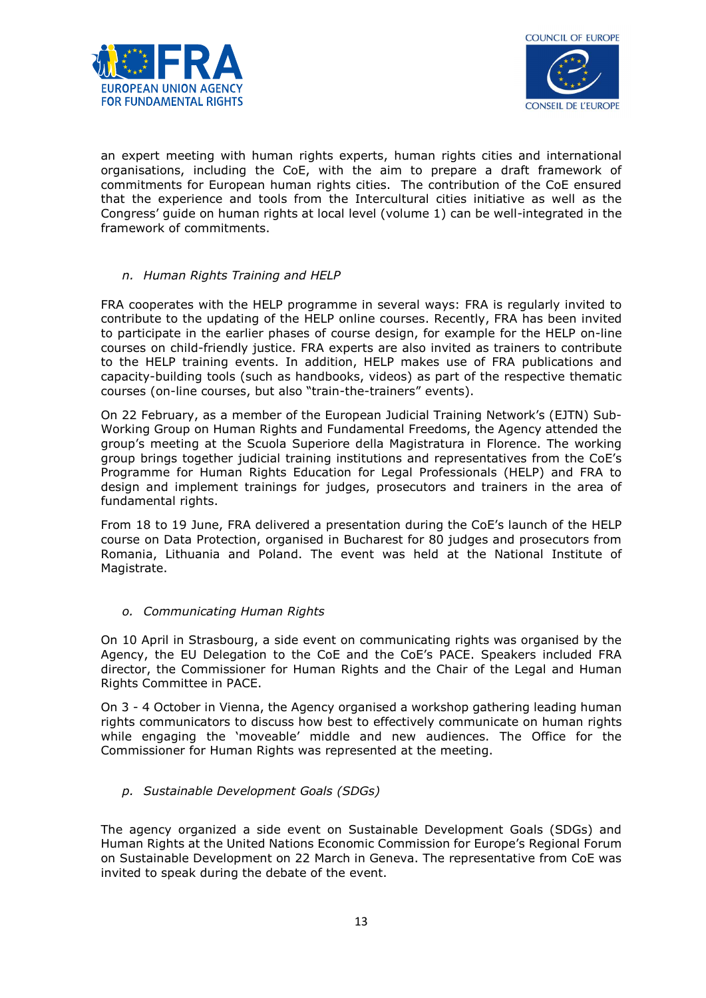



an expert meeting with human rights experts, human rights cities and international organisations, including the CoE, with the aim to prepare a draft framework of commitments for European human rights cities. The contribution of the CoE ensured that the experience and tools from the Intercultural cities initiative as well as the Congress' guide on human rights at local level (volume 1) can be well-integrated in the framework of commitments.

#### n. Human Rights Training and HELP

FRA cooperates with the HELP programme in several ways: FRA is regularly invited to contribute to the updating of the HELP online courses. Recently, FRA has been invited to participate in the earlier phases of course design, for example for the HELP on-line courses on child-friendly justice. FRA experts are also invited as trainers to contribute to the HELP training events. In addition, HELP makes use of FRA publications and capacity-building tools (such as handbooks, videos) as part of the respective thematic courses (on-line courses, but also "train-the-trainers" events).

On 22 February, as a member of the European Judicial Training Network's (EJTN) Sub-Working Group on Human Rights and Fundamental Freedoms, the Agency attended the group's meeting at the Scuola Superiore della Magistratura in Florence. The working group brings together judicial training institutions and representatives from the CoE's Programme for Human Rights Education for Legal Professionals (HELP) and FRA to design and implement trainings for judges, prosecutors and trainers in the area of fundamental rights.

From 18 to 19 June, FRA delivered a presentation during the CoE's launch of the HELP course on Data Protection, organised in Bucharest for 80 judges and prosecutors from Romania, Lithuania and Poland. The event was held at the National Institute of Magistrate.

#### o. Communicating Human Rights

On 10 April in Strasbourg, a side event on communicating rights was organised by the Agency, the EU Delegation to the CoE and the CoE's PACE. Speakers included FRA director, the Commissioner for Human Rights and the Chair of the Legal and Human Rights Committee in PACE.

On 3 - 4 October in Vienna, the Agency organised a workshop gathering leading human rights communicators to discuss how best to effectively communicate on human rights while engaging the 'moveable' middle and new audiences. The Office for the Commissioner for Human Rights was represented at the meeting.

## p. Sustainable Development Goals (SDGs)

The agency organized a side event on Sustainable Development Goals (SDGs) and Human Rights at the United Nations Economic Commission for Europe's Regional Forum on Sustainable Development on 22 March in Geneva. The representative from CoE was invited to speak during the debate of the event.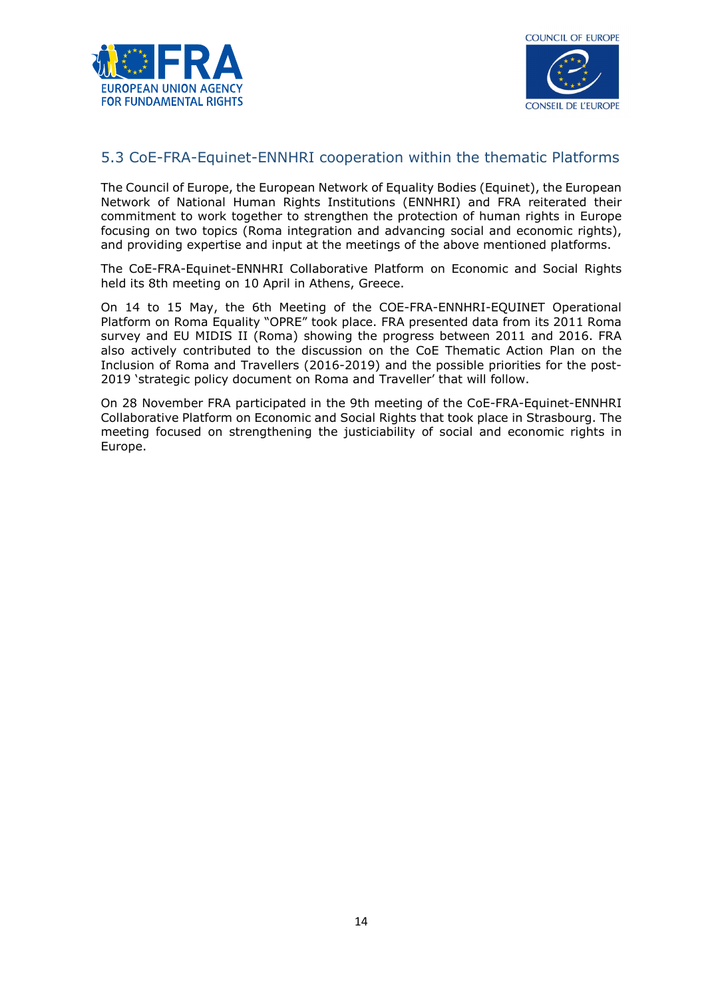



## 5.3 CoE-FRA-Equinet-ENNHRI cooperation within the thematic Platforms

The Council of Europe, the European Network of Equality Bodies (Equinet), the European Network of National Human Rights Institutions (ENNHRI) and FRA reiterated their commitment to work together to strengthen the protection of human rights in Europe focusing on two topics (Roma integration and advancing social and economic rights), and providing expertise and input at the meetings of the above mentioned platforms.

The CoE-FRA-Equinet-ENNHRI Collaborative Platform on Economic and Social Rights held its 8th meeting on 10 April in Athens, Greece.

On 14 to 15 May, the 6th Meeting of the COE-FRA-ENNHRI-EQUINET Operational Platform on Roma Equality "OPRE" took place. FRA presented data from its 2011 Roma survey and EU MIDIS II (Roma) showing the progress between 2011 and 2016. FRA also actively contributed to the discussion on the CoE Thematic Action Plan on the Inclusion of Roma and Travellers (2016-2019) and the possible priorities for the post-2019 'strategic policy document on Roma and Traveller' that will follow.

On 28 November FRA participated in the 9th meeting of the CoE-FRA-Equinet-ENNHRI Collaborative Platform on Economic and Social Rights that took place in Strasbourg. The meeting focused on strengthening the justiciability of social and economic rights in Europe.